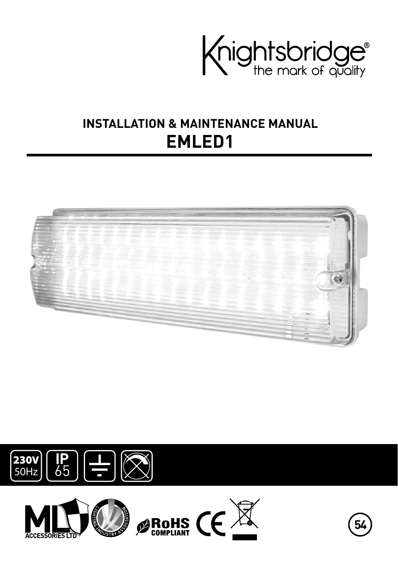

# **INSTALLATION & MAINTENANCE MANUAL EMLED1**







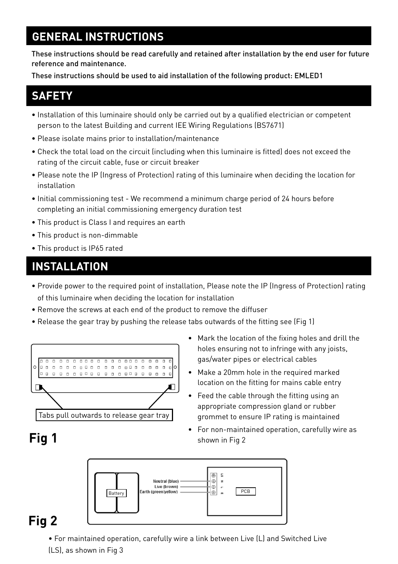### **GENERAL INSTRUCTIONS**

These instructions should be read carefully and retained after installation by the end user for future reference and maintenance.

These instructions should be used to aid installation of the following product: EMLED1

#### **SAFETY**

- Installation of this luminaire should only be carried out by a qualified electrician or competent person to the latest Building and current IEE Wiring Regulations (BS7671)
- Please isolate mains prior to installation/maintenance
- Check the total load on the circuit (including when this luminaire is fitted) does not exceed the rating of the circuit cable, fuse or circuit breaker
- Please note the IP (Ingress of Protection) rating of this luminaire when deciding the location for installation
- Initial commissioning test We recommend a minimum charge period of 24 hours before completing an initial commissioning emergency duration test
- This product is Class I and requires an earth
- This product is non-dimmable
- This product is IP65 rated

## **INSTALLATION**

- Provide power to the required point of installation, Please note the IP (Ingress of Protection) rating of this luminaire when deciding the location for installation
- Remove the screws at each end of the product to remove the diffuser
- Release the gear tray by pushing the release tabs outwards of the fitting see (Fig 1)



- Mark the location of the fixing holes and drill the holes ensuring not to infringe with any joists, gas/water pipes or electrical cables
- Make a 20mm hole in the required marked location on the fitting for mains cable entry
- Feed the cable through the fitting using an appropriate compression gland or rubber grommet to ensure IP rating is maintained
- For non-maintained operation, carefully wire as shown in Fig 2



### **Fig 2**

**Fig 1**

- For maintained operation, carefully wire a link between Live (L) and Switched Live
- (LS), as shown in Fig 3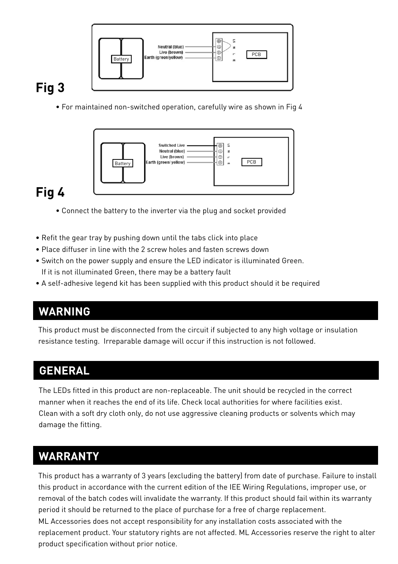

# **Fig 3**

• For maintained non-switched operation, carefully wire as shown in Fig 4



# **Fig 4**

- Connect the battery to the inverter via the plug and socket provided
- Refit the gear tray by pushing down until the tabs click into place
- Place diffuser in line with the 2 screw holes and fasten screws down
- Switch on the power supply and ensure the LED indicator is illuminated Green. If it is not illuminated Green, there may be a battery fault
- A self-adhesive legend kit has been supplied with this product should it be required

### **WARNING**

This product must be disconnected from the circuit if subjected to any high voltage or insulation resistance testing. Irreparable damage will occur if this instruction is not followed.

## **GENERAL**

The LEDs fitted in this product are non-replaceable. The unit should be recycled in the correct manner when it reaches the end of its life. Check local authorities for where facilities exist. Clean with a soft dry cloth only, do not use aggressive cleaning products or solvents which may damage the fitting.

### **WARRANTY**

This product has a warranty of 3 years (excluding the battery) from date of purchase. Failure to install this product in accordance with the current edition of the IEE Wiring Regulations, improper use, or removal of the batch codes will invalidate the warranty. If this product should fail within its warranty period it should be returned to the place of purchase for a free of charge replacement. ML Accessories does not accept responsibility for any installation costs associated with the replacement product. Your statutory rights are not affected. ML Accessories reserve the right to alter product specification without prior notice.